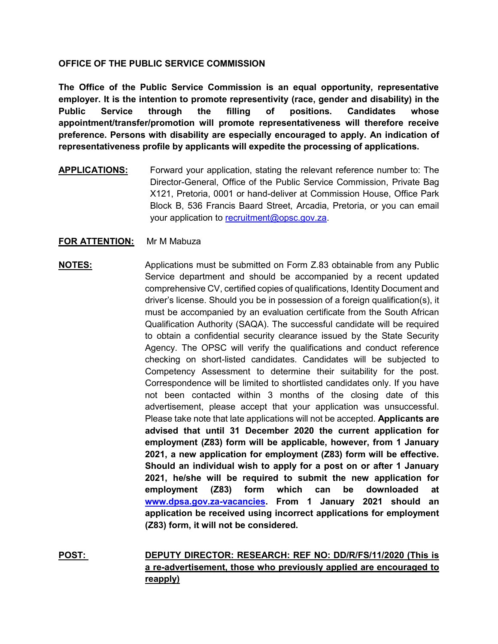### **OFFICE OF THE PUBLIC SERVICE COMMISSION**

**The Office of the Public Service Commission is an equal opportunity, representative employer. It is the intention to promote representivity (race, gender and disability) in the Public Service through the filling of positions. Candidates whose appointment/transfer/promotion will promote representativeness will therefore receive preference. Persons with disability are especially encouraged to apply. An indication of representativeness profile by applicants will expedite the processing of applications.**

**APPLICATIONS:** Forward your application, stating the relevant reference number to: The Director-General, Office of the Public Service Commission, Private Bag X121, Pretoria, 0001 or hand-deliver at Commission House, Office Park Block B, 536 Francis Baard Street, Arcadia, Pretoria, or you can email your application to [recruitment@opsc.gov.za.](mailto:recruitment@opsc.gov.za)

## **FOR ATTENTION:** Mr M Mabuza

# **NOTES:** Applications must be submitted on Form Z.83 obtainable from any Public Service department and should be accompanied by a recent updated comprehensive CV, certified copies of qualifications, Identity Document and driver's license. Should you be in possession of a foreign qualification(s), it must be accompanied by an evaluation certificate from the South African Qualification Authority (SAQA). The successful candidate will be required to obtain a confidential security clearance issued by the State Security Agency. The OPSC will verify the qualifications and conduct reference checking on short-listed candidates. Candidates will be subjected to Competency Assessment to determine their suitability for the post. Correspondence will be limited to shortlisted candidates only. If you have not been contacted within 3 months of the closing date of this advertisement, please accept that your application was unsuccessful. Please take note that late applications will not be accepted. **Applicants are advised that until 31 December 2020 the current application for employment (Z83) form will be applicable, however, from 1 January 2021, a new application for employment (Z83) form will be effective. Should an individual wish to apply for a post on or after 1 January 2021, he/she will be required to submit the new application for employment (Z83) form which can be downloaded at [www.dpsa.gov.za-vacancies.](http://www.dpsa.gov.za-vacancies/) From 1 January 2021 should an application be received using incorrect applications for employment (Z83) form, it will not be considered.**

**POST: DEPUTY DIRECTOR: RESEARCH: REF NO: DD/R/FS/11/2020 (This is a re-advertisement, those who previously applied are encouraged to reapply)**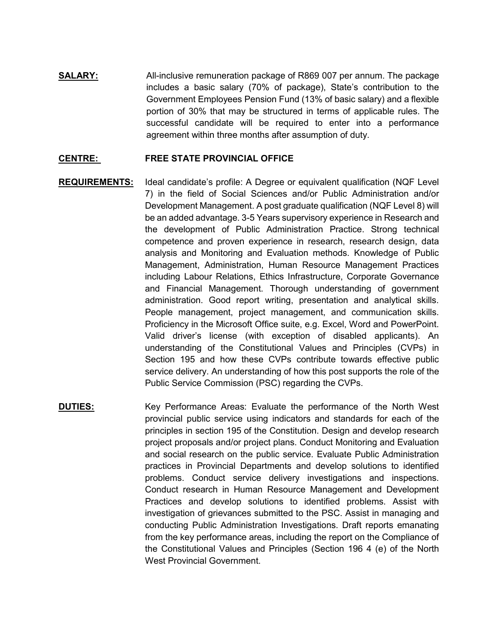**SALARY:** All-inclusive remuneration package of R869 007 per annum. The package includes a basic salary (70% of package), State's contribution to the Government Employees Pension Fund (13% of basic salary) and a flexible portion of 30% that may be structured in terms of applicable rules. The successful candidate will be required to enter into a performance agreement within three months after assumption of duty.

#### **CENTRE: FREE STATE PROVINCIAL OFFICE**

- **REQUIREMENTS:** Ideal candidate's profile: A Degree or equivalent qualification (NQF Level 7) in the field of Social Sciences and/or Public Administration and/or Development Management. A post graduate qualification (NQF Level 8) will be an added advantage. 3-5 Years supervisory experience in Research and the development of Public Administration Practice. Strong technical competence and proven experience in research, research design, data analysis and Monitoring and Evaluation methods. Knowledge of Public Management, Administration, Human Resource Management Practices including Labour Relations, Ethics Infrastructure, Corporate Governance and Financial Management. Thorough understanding of government administration. Good report writing, presentation and analytical skills. People management, project management, and communication skills. Proficiency in the Microsoft Office suite, e.g. Excel, Word and PowerPoint. Valid driver's license (with exception of disabled applicants). An understanding of the Constitutional Values and Principles (CVPs) in Section 195 and how these CVPs contribute towards effective public service delivery. An understanding of how this post supports the role of the Public Service Commission (PSC) regarding the CVPs.
- **DUTIES:** Key Performance Areas: Evaluate the performance of the North West provincial public service using indicators and standards for each of the principles in section 195 of the Constitution. Design and develop research project proposals and/or project plans. Conduct Monitoring and Evaluation and social research on the public service. Evaluate Public Administration practices in Provincial Departments and develop solutions to identified problems. Conduct service delivery investigations and inspections. Conduct research in Human Resource Management and Development Practices and develop solutions to identified problems. Assist with investigation of grievances submitted to the PSC. Assist in managing and conducting Public Administration Investigations. Draft reports emanating from the key performance areas, including the report on the Compliance of the Constitutional Values and Principles (Section 196 4 (e) of the North West Provincial Government.